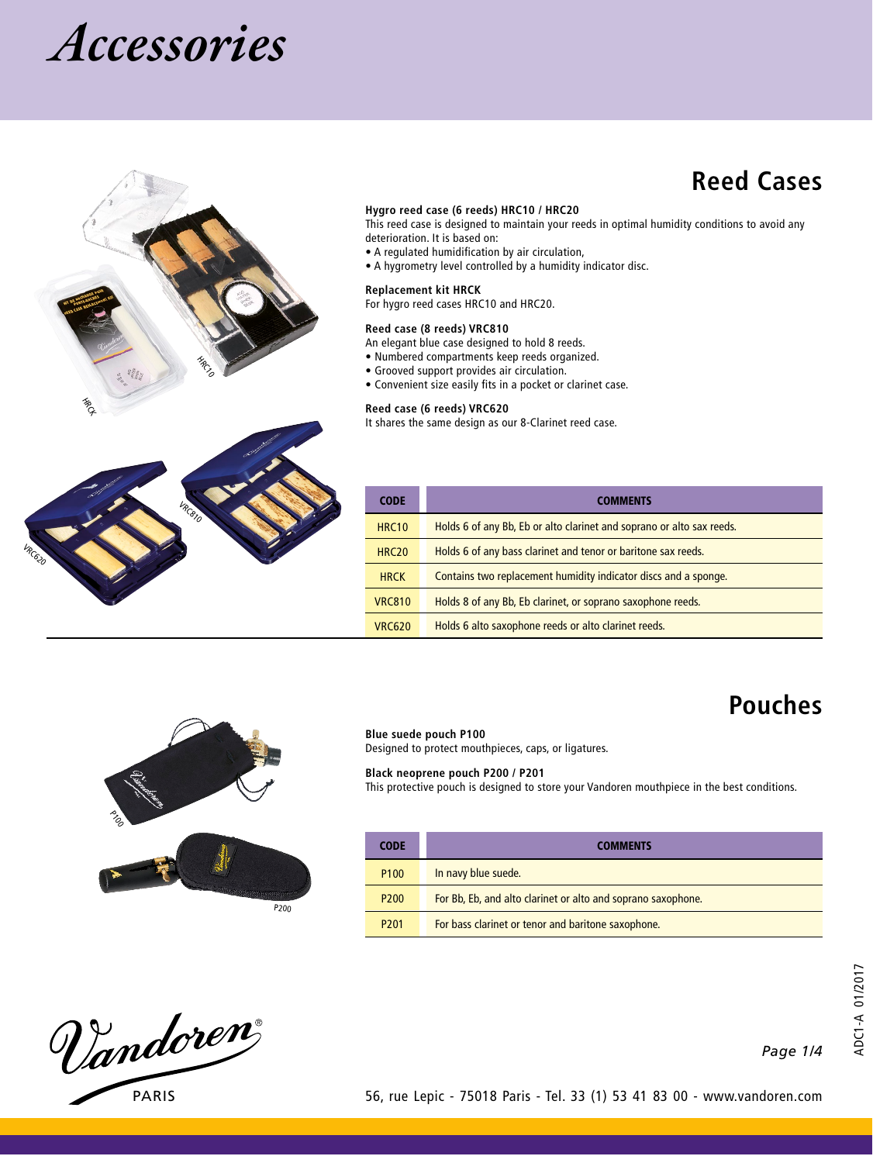



## **Reed Cases**

#### **Hygro reed case (6 reeds) HRC10 / HRC20**

This reed case is designed to maintain your reeds in optimal humidity conditions to avoid any deterioration. It is based on:

- A regulated humidification by air circulation,
- A hygrometry level controlled by a humidity indicator disc.

### For hygro reed cases HRC10 and HRC20.

**Replacement kit HRCK**

#### **Reed case (8 reeds) VRC810**

An elegant blue case designed to hold 8 reeds.

- Numbered compartments keep reeds organized.
- Grooved support provides air circulation.
- Convenient size easily fits in a pocket or clarinet case.

#### **Reed case (6 reeds) VRC620**

It shares the same design as our 8-Clarinet reed case.

| <b>CODE</b>       | <b>COMMENTS</b>                                                       |  |
|-------------------|-----------------------------------------------------------------------|--|
| HRC <sub>10</sub> | Holds 6 of any Bb, Eb or alto clarinet and soprano or alto sax reeds. |  |
| HRC <sub>20</sub> | Holds 6 of any bass clarinet and tenor or baritone sax reeds.         |  |
| <b>HRCK</b>       | Contains two replacement humidity indicator discs and a sponge.       |  |
| <b>VRC810</b>     | Holds 8 of any Bb, Eb clarinet, or soprano saxophone reeds.           |  |
| <b>VRC620</b>     | Holds 6 alto saxophone reeds or alto clarinet reeds.                  |  |



#### **Blue suede pouch P100**

Designed to protect mouthpieces, caps, or ligatures.

#### **Black neoprene pouch P200 / P201**

This protective pouch is designed to store your Vandoren mouthpiece in the best conditions.

| <b>CODE</b>      | <b>COMMENTS</b>                                                                                                    |  |
|------------------|--------------------------------------------------------------------------------------------------------------------|--|
| P <sub>100</sub> | In navy blue suede.                                                                                                |  |
| P <sub>200</sub> | For Bb, Eb, and alto clarinet or alto and soprano saxophone.<br>For bass clarinet or tenor and baritone saxophone. |  |
| P <sub>201</sub> |                                                                                                                    |  |

Vandoren PARIS

*1/4 Page* 

**Pouches**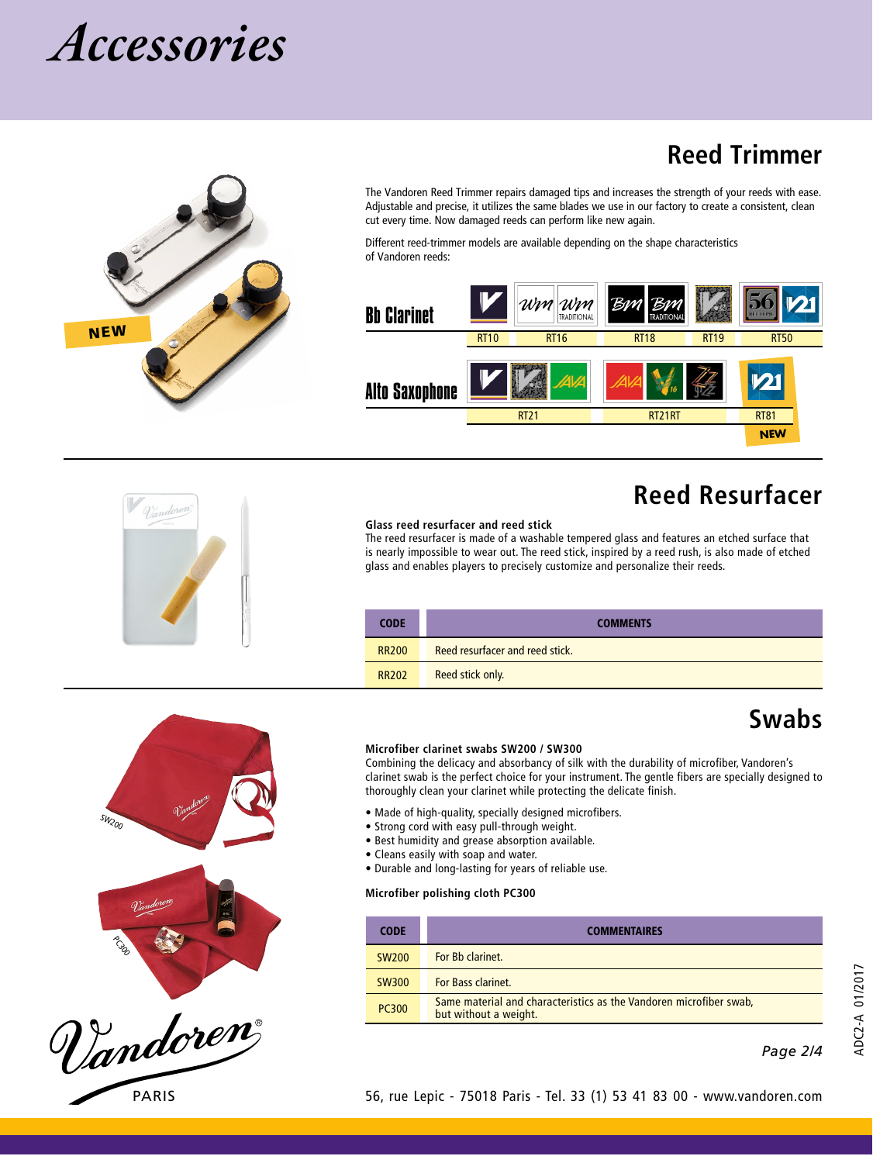

The Vandoren Reed Trimmer repairs damaged tips and increases the strength of your reeds with ease. Adjustable and precise, it utilizes the same blades we use in our factory to create a consistent, clean cut every time. Now damaged reeds can perform like new again.

Different reed-trimmer models are available depending on the shape characteristics of Vandoren reeds:



## **Reed Resurfacer**

**Reed Trimmer**

#### **Glass reed resurfacer and reed stick**

The reed resurfacer is made of a washable tempered glass and features an etched surface that is nearly impossible to wear out. The reed stick, inspired by a reed rush, is also made of etched glass and enables players to precisely customize and personalize their reeds.

| <b>CODE</b>  | <b>COMMENTS</b>                 |  |
|--------------|---------------------------------|--|
| <b>RR200</b> | Reed resurfacer and reed stick. |  |
| <b>RR202</b> | Reed stick only.                |  |

## **Swabs**

#### **Microfiber clarinet swabs SW200 / SW300**

Combining the delicacy and absorbancy of silk with the durability of microfiber, Vandoren's clarinet swab is the perfect choice for your instrument. The gentle fibers are specially designed to thoroughly clean your clarinet while protecting the delicate finish.

- Made of high-quality, specially designed microfibers.
- Strong cord with easy pull-through weight.
- Best humidity and grease absorption available.
- Cleans easily with soap and water.
- Durable and long-lasting for years of reliable use.

#### **Microfiber polishing cloth PC300**

| <b>CODE</b>  | <b>COMMENTAIRES</b>                                                                         |  |
|--------------|---------------------------------------------------------------------------------------------|--|
| <b>SW200</b> | For Bb clarinet.                                                                            |  |
| <b>SW300</b> | <b>For Bass clarinet.</b>                                                                   |  |
| <b>PC300</b> | Same material and characteristics as the Vandoren microfiber swab,<br>but without a weight. |  |

*2/4 Page* 







SW200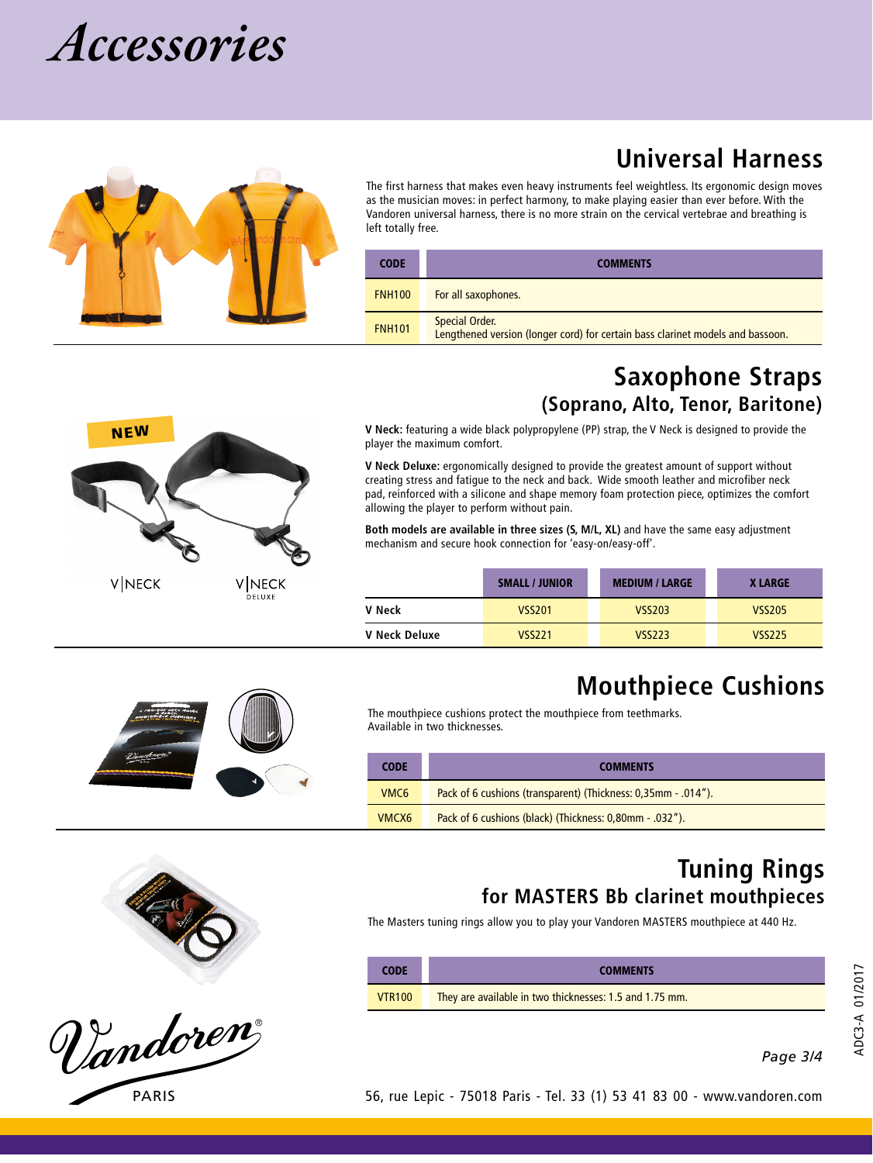

NEW

**VINECK** 

The first harness that makes even heavy instruments feel weightless. Its ergonomic design moves as the musician moves: in perfect harmony, to make playing easier than ever before. With the Vandoren universal harness, there is no more strain on the cervical vertebrae and breathing is left totally free.

| <b>CODE</b>   | <b>COMMENTS</b>                                                                                  |  |
|---------------|--------------------------------------------------------------------------------------------------|--|
| <b>FNH100</b> | For all saxophones.                                                                              |  |
| <b>FNH101</b> | Special Order.<br>Lengthened version (longer cord) for certain bass clarinet models and bassoon. |  |

### **Saxophone Straps (Soprano, Alto, Tenor, Baritone)**

**Universal Harness**

**V Neck:** featuring a wide black polypropylene (PP) strap, the V Neck is designed to provide the player the maximum comfort.

**V Neck Deluxe:** ergonomically designed to provide the greatest amount of support without creating stress and fatigue to the neck and back. Wide smooth leather and microfiber neck pad, reinforced with a silicone and shape memory foam protection piece, optimizes the comfort allowing the player to perform without pain.

**Both models are available in three sizes (S, M/L, XL)** and have the same easy adjustment mechanism and secure hook connection for 'easy-on/easy-off'.

|               | <b>SMALL / JUNIOR</b> | <b>MEDIUM / LARGE</b> | <b>XLARGE</b> |
|---------------|-----------------------|-----------------------|---------------|
| V Neck        | <b>VSS201</b>         | VSS203                | <b>VSS205</b> |
| V Neck Deluxe | <b>VSS221</b>         | <b>VSS223</b>         | <b>VSS225</b> |





Vandoren

## **Mouthpiece Cushions**

The mouthpiece cushions protect the mouthpiece from teethmarks. Available in two thicknesses.

| <b>CODE</b>      | <b>COMMENTS</b>                                               |  |
|------------------|---------------------------------------------------------------|--|
| VMC <sub>6</sub> | Pack of 6 cushions (transparent) (Thickness: 0,35mm - .014"). |  |
| VMCX6            | Pack of 6 cushions (black) (Thickness: 0,80mm - .032").       |  |

### **Tuning Rings for MASTERS Bb clarinet mouthpieces**

The Masters tuning rings allow you to play your Vandoren MASTERS mouthpiece at 440 Hz.

| <b>CODE</b>   | <b>COMMENTS</b>                                         |  |
|---------------|---------------------------------------------------------|--|
| <b>VTR100</b> | They are available in two thicknesses: 1.5 and 1.75 mm. |  |

*3/4 Page* 

ADC3-A 01/2017

ADC3-A 01/2017

| $\cdots$               |               |                       |               |
|------------------------|---------------|-----------------------|---------------|
| <b>VNECK</b><br>DELUXE |               | <b>SMALL / JUNIOR</b> | <b>MEDIUM</b> |
|                        | V Neck        | <b>VSS201</b>         | VSS2          |
|                        | V Neck Deluxe | <b>VSS221</b>         | VSS2          |